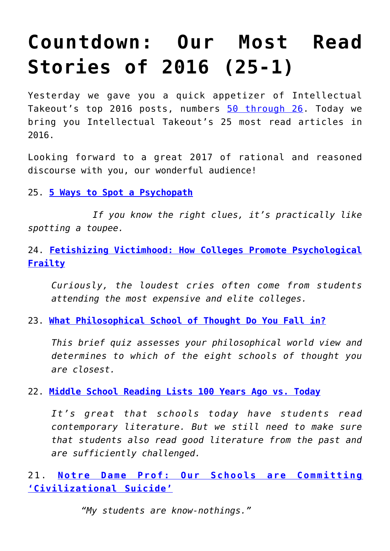## **[Countdown: Our Most Read](https://intellectualtakeout.org/2016/12/countdown-our-most-read-stories-of-2016-25-1/) [Stories of 2016 \(25-1\)](https://intellectualtakeout.org/2016/12/countdown-our-most-read-stories-of-2016-25-1/)**

Yesterday we gave you a quick appetizer of Intellectual Takeout's top 2016 posts, numbers [50 through 26](https://www.intellectualtakeout.org/blog/countdown-our-most-read-stories-2016-50-26). Today we bring you Intellectual Takeout's 25 most read articles in 2016.

Looking forward to a great 2017 of rational and reasoned discourse with you, our wonderful audience!

25. **[5 Ways to Spot a Psychopath](https://www.intellectualtakeout.org/blog/5-ways-spot-psychopath)**

 *If you know the right clues, it's practically like spotting a toupee.*

24. **[Fetishizing Victimhood: How Colleges Promote Psychological](https://www.intellectualtakeout.org/blog/fetishizing-victimhood-how-colleges-promote-psychological-frailty) [Frailty](https://www.intellectualtakeout.org/blog/fetishizing-victimhood-how-colleges-promote-psychological-frailty)**

*Curiously, the loudest cries often come from students attending the most expensive and elite colleges.*

23. **[What Philosophical School of Thought Do You Fall in?](https://www.intellectualtakeout.org/blog/what-philosophical-school-thought-do-you-fall)**

*This brief quiz assesses your philosophical world view and determines to which of the eight schools of thought you are closest.*

22. **[Middle School Reading Lists 100 Years Ago vs. Today](https://www.intellectualtakeout.org/blog/middle-school-reading-lists-100-years-ago-vs-today)**

*It's great that schools today have students read contemporary literature. But we still need to make sure that students also read good literature from the past and are sufficiently challenged.*

21. **[Notre Dame Prof: Our Schools are Committing](https://www.intellectualtakeout.org/blog/notre-dame-prof-our-schools-are-committing-civilizational-suicide) ['Civilizational Suicide'](https://www.intellectualtakeout.org/blog/notre-dame-prof-our-schools-are-committing-civilizational-suicide)**

 *"My students are know-nothings."*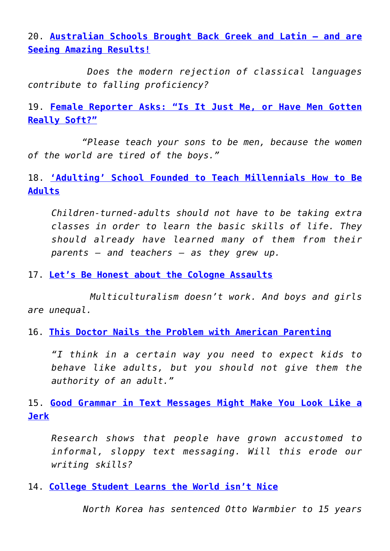20. **[Australian Schools Brought Back Greek and Latin – and are](https://www.intellectualtakeout.org/blog/australian-schools-brought-back-greek-and-latin-and-are-seeing-amazing-results) [Seeing Amazing Results!](https://www.intellectualtakeout.org/blog/australian-schools-brought-back-greek-and-latin-and-are-seeing-amazing-results)**

 *Does the modern rejection of classical languages contribute to falling proficiency?*

19. **[Female Reporter Asks: "Is It Just Me, or Have Men Gotten](https://www.intellectualtakeout.org/blog/female-reporter-asks-it-just-me-or-have-men-gotten-really-soft) [Really Soft?"](https://www.intellectualtakeout.org/blog/female-reporter-asks-it-just-me-or-have-men-gotten-really-soft)**

 *"Please teach your sons to be men, because the women of the world are tired of the boys."*

18. **['Adulting' School Founded to Teach Millennials How to Be](https://www.intellectualtakeout.org/blog/adulting-school-founded-teach-millennials-how-be-adults) [Adults](https://www.intellectualtakeout.org/blog/adulting-school-founded-teach-millennials-how-be-adults)**

*Children-turned-adults should not have to be taking extra classes in order to learn the basic skills of life. They should already have learned many of them from their parents – and teachers – as they grew up.*

17. **[Let's Be Honest about the Cologne Assaults](https://www.intellectualtakeout.org/blog/lets-be-honest-about-cologne-assaults)**

 *Multiculturalism doesn't work. And boys and girls are unequal.*

16. **[This Doctor Nails the Problem with American Parenting](https://www.intellectualtakeout.org/blog/doctor-nails-problem-american-parenting)**

*"I think in a certain way you need to expect kids to behave like adults, but you should not give them the authority of an adult."*

15. **[Good Grammar in Text Messages Might Make You Look Like a](https://www.intellectualtakeout.org/blog/good-grammar-text-messages-might-make-you-look-jerk) [Jerk](https://www.intellectualtakeout.org/blog/good-grammar-text-messages-might-make-you-look-jerk)**

*Research shows that people have grown accustomed to informal, sloppy text messaging. Will this erode our writing skills?*

14. **[College Student Learns the World isn't Nice](https://www.intellectualtakeout.org/blog/college-student-learns-world-isnt-nice)**

 *North Korea has sentenced Otto Warmbier to 15 years*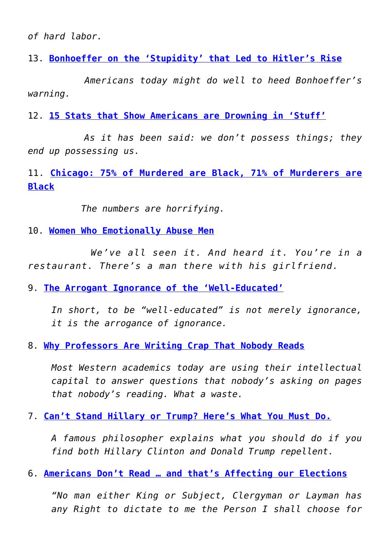*of hard labor.*

13. **[Bonhoeffer on the 'Stupidity' that Led to Hitler's Rise](https://www.intellectualtakeout.org/blog/bonhoeffer-stupidity-led-hitlers-rise)**

 *Americans today might do well to heed Bonhoeffer's warning.*

12. **[15 Stats that Show Americans are Drowning in 'Stuff'](https://www.intellectualtakeout.org/blog/15-stats-show-americans-are-drowning-stuff)**

 *As it has been said: we don't possess things; they end up possessing us.*

11. **[Chicago: 75% of Murdered are Black, 71% of Murderers are](https://www.intellectualtakeout.org/blog/chicago-75-murdered-are-black-71-murderers-are-black) [Black](https://www.intellectualtakeout.org/blog/chicago-75-murdered-are-black-71-murderers-are-black)**

*The numbers are horrifying.*

10. **[Women Who Emotionally Abuse Men](https://www.intellectualtakeout.org/blog/women-who-emotionally-abuse-men)**

 *We've all seen it. And heard it. You're in a restaurant. There's a man there with his girlfriend.*

9. **[The Arrogant Ignorance of the 'Well-Educated'](https://www.intellectualtakeout.org/blog/arrogant-ignorance-well-educated)**

*In short, to be "well-educated" is not merely ignorance, it is the arrogance of ignorance.*

8. **[Why Professors Are Writing Crap That Nobody Reads](https://www.intellectualtakeout.org/blog/why-professors-are-writing-crap-nobody-reads)**

*Most Western academics today are using their intellectual capital to answer questions that nobody's asking on pages that nobody's reading. What a waste.*

7. **[Can't Stand Hillary or Trump? Here's What You Must Do.](https://www.intellectualtakeout.org/blog/cant-stand-hillary-or-trump-heres-what-you-must-do)**

*A famous philosopher explains what you should do if you find both Hillary Clinton and Donald Trump repellent.*

6. **[Americans Don't Read … and that's Affecting our Elections](https://www.intellectualtakeout.org/blog/americans-dont-read-and-thats-affecting-our-elections)**

*"No man either King or Subject, Clergyman or Layman has any Right to dictate to me the Person I shall choose for*